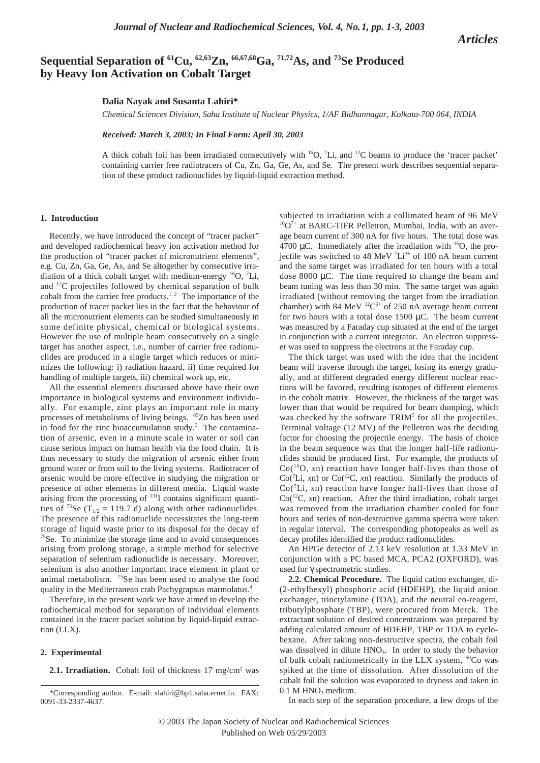*Articles*

# Sequential Separation of <sup>61</sup>Cu, <sup>62,63</sup>Zn, <sup>66,67,68</sup>Ga, <sup>71,72</sup>As, and <sup>73</sup>Se Produced **by Heavy Ion Activation on Cobalt Target**

## **Dalia Nayak and Susanta Lahiri\***

*Chemical Sciences Division, Saha Institute of Nuclear Physics, 1/AF Bidhannagar, Kolkata-700 064, INDIA*

*Received: March 3, 2003; In Final Form: April 30, 2003*

A thick cobalt foil has been irradiated consecutively with  ${}^{16}O$ , <sup>7</sup>Li, and  ${}^{12}C$  beams to produce the 'tracer packet' containing carrier free radiotracers of Cu, Zn, Ga, Ge, As, and Se. The present work describes sequential separation of these product radionuclides by liquid-liquid extraction method.

#### **1. Introduction**

Recently, we have introduced the concept of "tracer packet" and developed radiochemical heavy ion activation method for the production of "tracer packet of micronutrient elements", e.g. Cu, Zn, Ga, Ge, As, and Se altogether by consecutive irradiation of a thick cobalt target with medium-energy  $^{16}O$ ,  $^{7}Li$ , and 12C projectiles followed by chemical separation of bulk cobalt from the carrier free products.<sup>1, 2</sup> The importance of the production of tracer packet lies in the fact that the behaviour of all the micronutrient elements can be studied simultaneously in some definite physical, chemical or biological systems. However the use of multiple beam consecutively on a single target has another aspect, i.e., number of carrier free radionuclides are produced in a single target which reduces or minimizes the following: i) radiation hazard, ii) time required for handling of multiple targets, iii) chemical work up, etc.

All the essential elements discussed above have their own importance in biological systems and environment individually. For example, zinc plays an important role in many processes of metabolisms of living beings. <sup>65</sup>Zn has been used in food for the zinc bioaccumulation study.<sup>3</sup> The contamination of arsenic, even in a minute scale in water or soil can cause serious impact on human health via the food chain. It is thus necessary to study the migration of arsenic either from ground water or from soil to the living systems. Radiotracer of arsenic would be more effective in studying the migration or presence of other elements in different media. Liquid waste arising from the processing of 131I contains significant quantities of <sup>75</sup>Se (T<sub>1/2</sub> = 119.7 d) along with other radionuclides. The presence of this radionuclide necessitates the long-term storage of liquid waste prior to its disposal for the decay of  $<sup>75</sup>$ Se. To minimize the storage time and to avoid consequences</sup> arising from prolong storage, a simple method for selective separation of selenium radionuclide is necessary. Moreover, selenium is also another important trace element in plant or animal metabolism. 75Se has been used to analyse the food quality in the Mediterranean crab Pachygrapsus marmolatus.4

Therefore, in the present work we have aimed to develop the radiochemical method for separation of individual elements contained in the tracer packet solution by liquid-liquid extraction (LLX).

### **2. Experimental**

**2.1. Irradiation.** Cobalt foil of thickness 17 mg/cm2 was

subjected to irradiation with a collimated beam of 96 MeV  $16O<sup>7+</sup>$  at BARC-TIFR Pelletron, Mumbai, India, with an average beam current of 300 nA for five hours. The total dose was 4700  $\mu$ C. Immediately after the irradiation with <sup>16</sup>O, the projectile was switched to 48 MeV  ${}^{7}Li^{3+}$  of 100 nA beam current and the same target was irradiated for ten hours with a total dose 8000 µC. The time required to change the beam and beam tuning was less than 30 min. The same target was again irradiated (without removing the target from the irradiation chamber) with 84 MeV  ${}^{12}C^{6+}$  of 250 nA average beam current for two hours with a total dose  $1500 \mu C$ . The beam current was measured by a Faraday cup situated at the end of the target in conjunction with a current integrator. An electron suppresser was used to suppress the electrons at the Faraday cup.

The thick target was used with the idea that the incident beam will traverse through the target, losing its energy gradually, and at different degraded energy different nuclear reactions will be favored, resulting isotopes of different elements in the cobalt matrix. However, the thickness of the target was lower than that would be required for beam dumping, which was checked by the software TRIM<sup>5</sup> for all the projectiles. Terminal voltage (12 MV) of the Pelletron was the deciding factor for choosing the projectile energy. The basis of choice in the beam sequence was that the longer half-life radionuclides should be produced first. For example, the products of Co(16O, *x*n) reaction have longer half-lives than those of  $Co({^{7}\text{Li}}, \text{xn})$  or  $Co({^{12}\text{C}}, \text{xn})$  reaction. Similarly the products of Co(7 Li, *x*n) reaction have longer half-lives than those of  $Co(^{12}C, xn)$  reaction. After the third irradiation, cobalt target was removed from the irradiation chamber cooled for four hours and series of non-destructive gamma spectra were taken in regular interval. The corresponding photopeaks as well as decay profiles identified the product radionuclides.

An HPGe detector of 2.13 keV resolution at 1.33 MeV in conjunction with a PC based MCA, PCA2 (OXFORD), was used for γ spectrometric studies.

**2.2. Chemical Procedure.** The liquid cation exchanger, di- (2-ethylhexyl) phosphoric acid (HDEHP), the liquid anion exchanger, trioctylamine (TOA), and the neutral co-reagent, tributylphosphate (TBP), were procured from Merck. The extractant solution of desired concentrations was prepared by adding calculated amount of HDEHP, TBP or TOA to cyclohexane. After taking non-destructive spectra, the cobalt foil was dissolved in dilute HNO<sub>3</sub>. In order to study the behavior of bulk cobalt radiometrically in the LLX system, <sup>60</sup>Co was spiked at the time of dissolution. After dissolution of the cobalt foil the solution was evaporated to dryness and taken in  $0.1$  M HNO<sub>3</sub> medium.

In each step of the separation procedure, a few drops of the

<sup>\*</sup>Corresponding author. E-mail: slahiri@hp1.saha.ernet.in. FAX: 0091-33-2337-4637.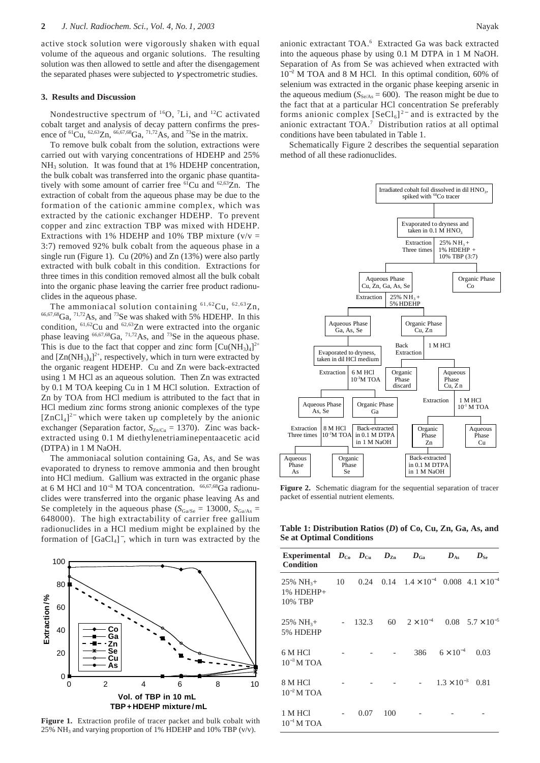active stock solution were vigorously shaken with equal volume of the aqueous and organic solutions. The resulting solution was then allowed to settle and after the disengagement the separated phases were subjected to  $\gamma$  spectrometric studies.

### **3. Results and Discussion**

Nondestructive spectrum of  $^{16}O$ ,  $^{7}Li$ , and  $^{12}C$  activated cobalt target and analysis of decay pattern confirms the presence of  ${}^{61}$ Cu,  ${}^{62,63}$ Zn,  ${}^{66,67,68}$ Ga,  ${}^{71,72}$ As, and  ${}^{73}$ Se in the matrix.

To remove bulk cobalt from the solution, extractions were carried out with varying concentrations of HDEHP and 25% NH<sub>3</sub> solution. It was found that at 1% HDEHP concentration, the bulk cobalt was transferred into the organic phase quantitatively with some amount of carrier free  ${}^{61}$ Cu and  ${}^{62,63}$ Zn. The extraction of cobalt from the aqueous phase may be due to the formation of the cationic ammine complex, which was extracted by the cationic exchanger HDEHP. To prevent copper and zinc extraction TBP was mixed with HDEHP. Extractions with 1% HDEHP and 10% TBP mixture  $(v/v =$ 3:7) removed 92% bulk cobalt from the aqueous phase in a single run (Figure 1). Cu (20%) and Zn (13%) were also partly extracted with bulk cobalt in this condition. Extractions for three times in this condition removed almost all the bulk cobalt into the organic phase leaving the carrier free product radionuclides in the aqueous phase.

The ammoniacal solution containing  ${}^{61,62}Cu$ ,  ${}^{62,63}Zn$ , 66,67,68Ga, 71,72As, and 73Se was shaked with 5% HDEHP. In this condition, 61,62Cu and 62,63Zn were extracted into the organic phase leaving 66,67,68Ga, 71,72As, and 73Se in the aqueous phase. This is due to the fact that copper and zinc form  $[Cu(NH<sub>3</sub>)<sub>4</sub>]<sup>2+</sup>$ and  $[Zn(NH_3)_4]^{2+}$ , respectively, which in turn were extracted by the organic reagent HDEHP. Cu and Zn were back-extracted using 1 M HCl as an aqueous solution. Then Zn was extracted by 0.1 M TOA keeping Cu in 1 M HCl solution. Extraction of Zn by TOA from HCl medium is attributed to the fact that in HCl medium zinc forms strong anionic complexes of the type  $[ZnCl<sub>4</sub>]<sup>2-</sup>$  which were taken up completely by the anionic exchanger (Separation factor,  $S_{Zn/Cu} = 1370$ ). Zinc was backextracted using 0.1 M diethylenetriaminepentaacetic acid (DTPA) in 1 M NaOH.

The ammoniacal solution containing Ga, As, and Se was evaporated to dryness to remove ammonia and then brought into HCl medium. Gallium was extracted in the organic phase at 6 M HCl and 10<sup>−</sup><sup>3</sup> M TOA concentration. 66,67,68Ga radionuclides were transferred into the organic phase leaving As and Se completely in the aqueous phase ( $S_{Ga/Se} = 13000$ ,  $S_{Ga/As} =$ 648000). The high extractability of carrier free gallium radionuclides in a HCl medium might be explained by the formation of  $[GaCl<sub>4</sub>]<sup>-</sup>$ , which in turn was extracted by the



**Figure 1.** Extraction profile of tracer packet and bulk cobalt with 25% NH<sub>3</sub> and varying proportion of 1% HDEHP and 10% TBP ( $v/v$ ).

anionic extractant TOA.<sup>6</sup> Extracted Ga was back extracted into the aqueous phase by using 0.1 M DTPA in 1 M NaOH. Separation of As from Se was achieved when extracted with 10<sup>−</sup><sup>2</sup> M TOA and 8 M HCl. In this optimal condition, 60% of selenium was extracted in the organic phase keeping arsenic in the aqueous medium ( $S_{\text{Se/As}} = 600$ ). The reason might be due to the fact that at a particular HCl concentration Se preferably forms anionic complex  $[SeCl_6]$ <sup>2-</sup> and is extracted by the anionic extractant TOA.7 Distribution ratios at all optimal conditions have been tabulated in Table 1.

Schematically Figure 2 describes the sequential separation method of all these radionuclides.



**Figure 2.** Schematic diagram for the sequential separation of tracer packet of essential nutrient elements.

**Table 1: Distribution Ratios (***D***) of Co, Cu, Zn, Ga, As, and Se at Optimal Conditions**

| Experimental $D_{\text{Co}}$ $D_{\text{Cu}}$ $D_{\text{Zn}}$<br><b>Condition</b> |      |       |     | $D_{\rm Ga}$                                                         | $D_{As}$             | $D_{\rm Se}$                    |
|----------------------------------------------------------------------------------|------|-------|-----|----------------------------------------------------------------------|----------------------|---------------------------------|
| $25\% \text{ NH}_{3}+$<br>1% HDEHP+<br>10% TBP                                   | 10   | 0.24  |     | $0.14 \quad 1.4 \times 10^{-4} \quad 0.008 \quad 4.1 \times 10^{-4}$ |                      |                                 |
| $25\% \text{ NH}_{3}+$<br>5% HDEHP                                               | $ -$ | 132.3 | 60  | $2 \times 10^{-4}$                                                   |                      | $0.08 \quad 5.7 \times 10^{-5}$ |
| 6 M HCl<br>$10^{-3}$ M TOA                                                       |      |       |     | 386                                                                  | $6 \times 10^{-4}$   | 0.03                            |
| 8 M HCl<br>$10^{-2}$ M TOA                                                       |      |       |     |                                                                      | $1.3 \times 10^{-3}$ | 0.81                            |
| 1 M HCl<br>$10^{-1}$ M TOA                                                       |      | 0.07  | 100 |                                                                      |                      |                                 |